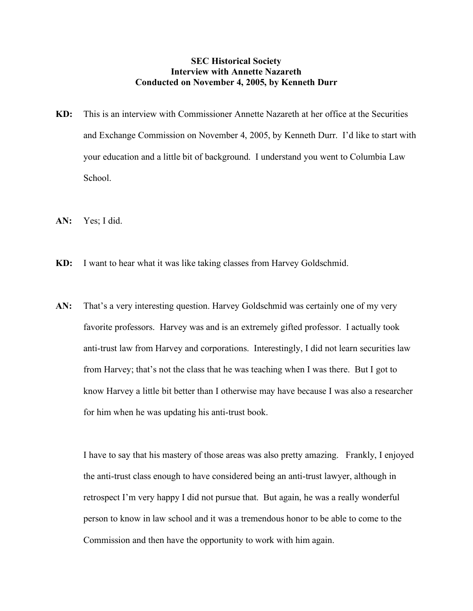## **SEC Historical Society Interview with Annette Nazareth Conducted on November 4, 2005, by Kenneth Durr**

- **KD:** This is an interview with Commissioner Annette Nazareth at her office at the Securities and Exchange Commission on November 4, 2005, by Kenneth Durr. I'd like to start with your education and a little bit of background. I understand you went to Columbia Law School.
- **AN:** Yes; I did.
- **KD:** I want to hear what it was like taking classes from Harvey Goldschmid.
- AN: That's a very interesting question. Harvey Goldschmid was certainly one of my very favorite professors. Harvey was and is an extremely gifted professor. I actually took anti-trust law from Harvey and corporations. Interestingly, I did not learn securities law from Harvey; that's not the class that he was teaching when I was there. But I got to know Harvey a little bit better than I otherwise may have because I was also a researcher for him when he was updating his anti-trust book.

I have to say that his mastery of those areas was also pretty amazing. Frankly, I enjoyed the anti-trust class enough to have considered being an anti-trust lawyer, although in retrospect I'm very happy I did not pursue that. But again, he was a really wonderful person to know in law school and it was a tremendous honor to be able to come to the Commission and then have the opportunity to work with him again.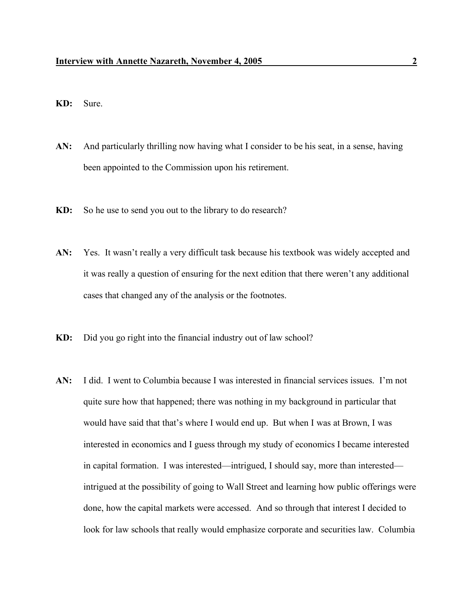- **KD:** Sure.
- **AN:** And particularly thrilling now having what I consider to be his seat, in a sense, having been appointed to the Commission upon his retirement.
- **KD:** So he use to send you out to the library to do research?
- AN: Yes. It wasn't really a very difficult task because his textbook was widely accepted and it was really a question of ensuring for the next edition that there weren't any additional cases that changed any of the analysis or the footnotes.
- **KD:** Did you go right into the financial industry out of law school?
- **AN:** I did. I went to Columbia because I was interested in financial services issues. I'm not quite sure how that happened; there was nothing in my background in particular that would have said that that's where I would end up. But when I was at Brown, I was interested in economics and I guess through my study of economics I became interested in capital formation. I was interested—intrigued, I should say, more than interested intrigued at the possibility of going to Wall Street and learning how public offerings were done, how the capital markets were accessed. And so through that interest I decided to look for law schools that really would emphasize corporate and securities law. Columbia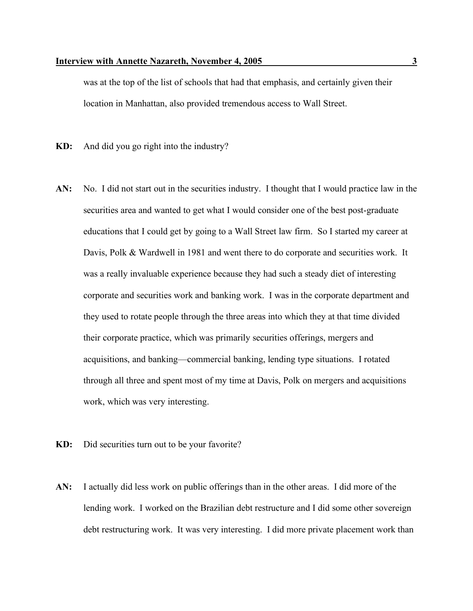was at the top of the list of schools that had that emphasis, and certainly given their location in Manhattan, also provided tremendous access to Wall Street.

**KD:** And did you go right into the industry?

- **AN:** No. I did not start out in the securities industry. I thought that I would practice law in the securities area and wanted to get what I would consider one of the best post-graduate educations that I could get by going to a Wall Street law firm. So I started my career at Davis, Polk & Wardwell in 1981 and went there to do corporate and securities work. It was a really invaluable experience because they had such a steady diet of interesting corporate and securities work and banking work. I was in the corporate department and they used to rotate people through the three areas into which they at that time divided their corporate practice, which was primarily securities offerings, mergers and acquisitions, and banking—commercial banking, lending type situations. I rotated through all three and spent most of my time at Davis, Polk on mergers and acquisitions work, which was very interesting.
- **KD:** Did securities turn out to be your favorite?
- **AN:** I actually did less work on public offerings than in the other areas. I did more of the lending work. I worked on the Brazilian debt restructure and I did some other sovereign debt restructuring work. It was very interesting. I did more private placement work than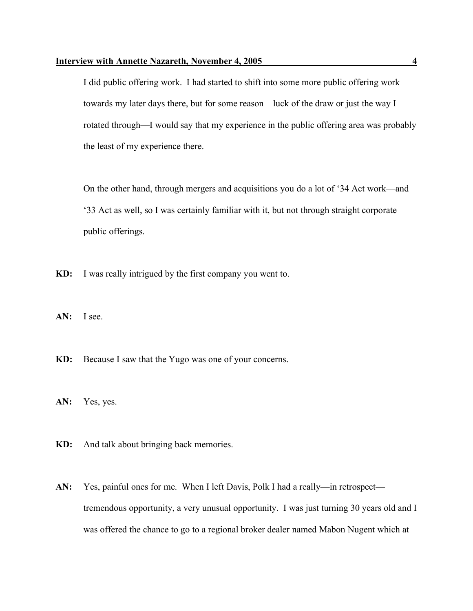I did public offering work. I had started to shift into some more public offering work towards my later days there, but for some reason—luck of the draw or just the way I rotated through—I would say that my experience in the public offering area was probably the least of my experience there.

On the other hand, through mergers and acquisitions you do a lot of '34 Act work—and '33 Act as well, so I was certainly familiar with it, but not through straight corporate public offerings.

**KD:** I was really intrigued by the first company you went to.

**AN:** I see.

**KD:** Because I saw that the Yugo was one of your concerns.

**AN:** Yes, yes.

**KD:** And talk about bringing back memories.

**AN:** Yes, painful ones for me. When I left Davis, Polk I had a really—in retrospect tremendous opportunity, a very unusual opportunity. I was just turning 30 years old and I was offered the chance to go to a regional broker dealer named Mabon Nugent which at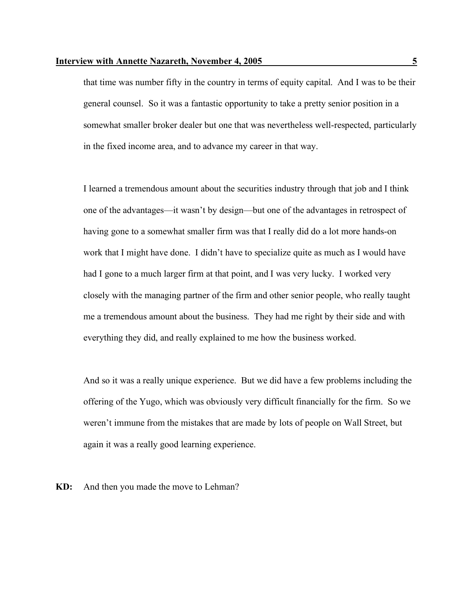that time was number fifty in the country in terms of equity capital. And I was to be their general counsel. So it was a fantastic opportunity to take a pretty senior position in a somewhat smaller broker dealer but one that was nevertheless well-respected, particularly in the fixed income area, and to advance my career in that way.

I learned a tremendous amount about the securities industry through that job and I think one of the advantages—it wasn't by design—but one of the advantages in retrospect of having gone to a somewhat smaller firm was that I really did do a lot more hands-on work that I might have done. I didn't have to specialize quite as much as I would have had I gone to a much larger firm at that point, and I was very lucky. I worked very closely with the managing partner of the firm and other senior people, who really taught me a tremendous amount about the business. They had me right by their side and with everything they did, and really explained to me how the business worked.

And so it was a really unique experience. But we did have a few problems including the offering of the Yugo, which was obviously very difficult financially for the firm. So we weren't immune from the mistakes that are made by lots of people on Wall Street, but again it was a really good learning experience.

**KD:** And then you made the move to Lehman?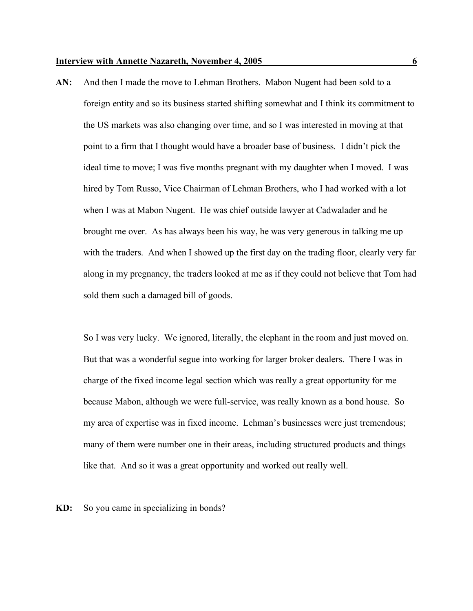**AN:** And then I made the move to Lehman Brothers. Mabon Nugent had been sold to a foreign entity and so its business started shifting somewhat and I think its commitment to the US markets was also changing over time, and so I was interested in moving at that point to a firm that I thought would have a broader base of business. I didn't pick the ideal time to move; I was five months pregnant with my daughter when I moved. I was hired by Tom Russo, Vice Chairman of Lehman Brothers, who I had worked with a lot when I was at Mabon Nugent. He was chief outside lawyer at Cadwalader and he brought me over. As has always been his way, he was very generous in talking me up with the traders. And when I showed up the first day on the trading floor, clearly very far along in my pregnancy, the traders looked at me as if they could not believe that Tom had sold them such a damaged bill of goods.

So I was very lucky. We ignored, literally, the elephant in the room and just moved on. But that was a wonderful segue into working for larger broker dealers. There I was in charge of the fixed income legal section which was really a great opportunity for me because Mabon, although we were full-service, was really known as a bond house. So my area of expertise was in fixed income. Lehman's businesses were just tremendous; many of them were number one in their areas, including structured products and things like that. And so it was a great opportunity and worked out really well.

**KD:** So you came in specializing in bonds?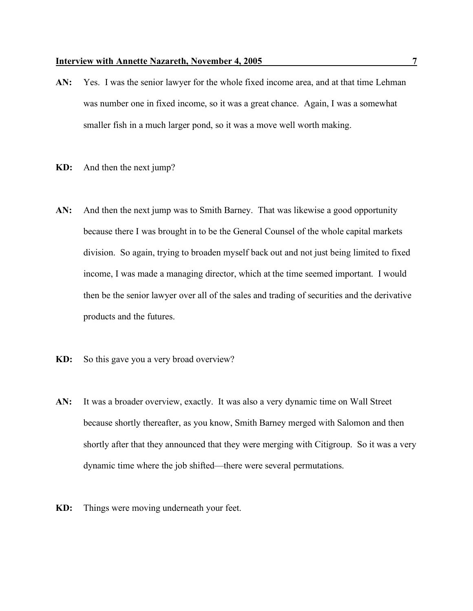- **AN:** Yes. I was the senior lawyer for the whole fixed income area, and at that time Lehman was number one in fixed income, so it was a great chance. Again, I was a somewhat smaller fish in a much larger pond, so it was a move well worth making.
- **KD:** And then the next jump?
- AN: And then the next jump was to Smith Barney. That was likewise a good opportunity because there I was brought in to be the General Counsel of the whole capital markets division. So again, trying to broaden myself back out and not just being limited to fixed income, I was made a managing director, which at the time seemed important. I would then be the senior lawyer over all of the sales and trading of securities and the derivative products and the futures.
- **KD:** So this gave you a very broad overview?
- AN: It was a broader overview, exactly. It was also a very dynamic time on Wall Street because shortly thereafter, as you know, Smith Barney merged with Salomon and then shortly after that they announced that they were merging with Citigroup. So it was a very dynamic time where the job shifted—there were several permutations.
- **KD:** Things were moving underneath your feet.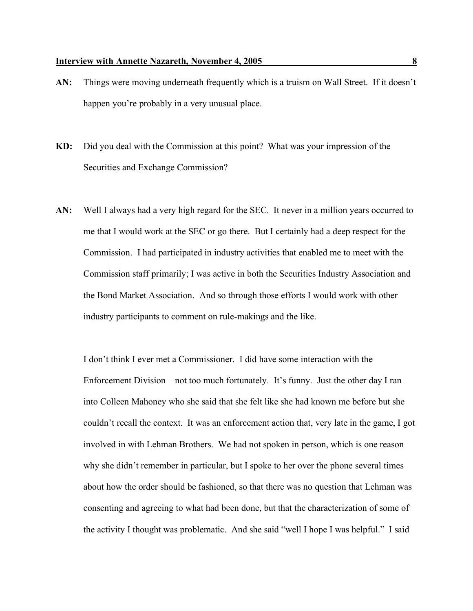- **AN:** Things were moving underneath frequently which is a truism on Wall Street. If it doesn't happen you're probably in a very unusual place.
- **KD:** Did you deal with the Commission at this point? What was your impression of the Securities and Exchange Commission?
- **AN:** Well I always had a very high regard for the SEC. It never in a million years occurred to me that I would work at the SEC or go there. But I certainly had a deep respect for the Commission. I had participated in industry activities that enabled me to meet with the Commission staff primarily; I was active in both the Securities Industry Association and the Bond Market Association. And so through those efforts I would work with other industry participants to comment on rule-makings and the like.

I don't think I ever met a Commissioner. I did have some interaction with the Enforcement Division—not too much fortunately. It's funny. Just the other day I ran into Colleen Mahoney who she said that she felt like she had known me before but she couldn't recall the context. It was an enforcement action that, very late in the game, I got involved in with Lehman Brothers. We had not spoken in person, which is one reason why she didn't remember in particular, but I spoke to her over the phone several times about how the order should be fashioned, so that there was no question that Lehman was consenting and agreeing to what had been done, but that the characterization of some of the activity I thought was problematic. And she said "well I hope I was helpful." I said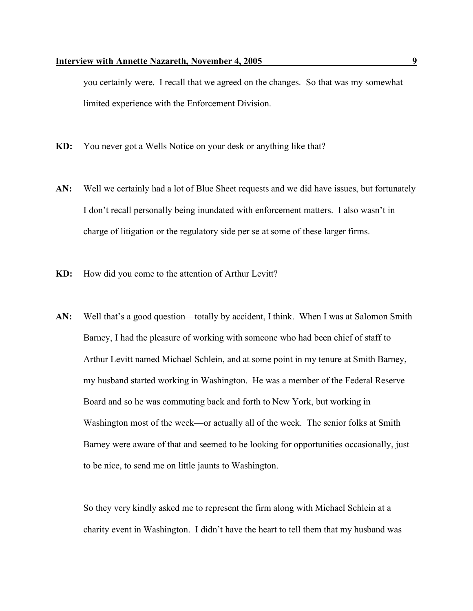you certainly were. I recall that we agreed on the changes. So that was my somewhat limited experience with the Enforcement Division.

- **KD:** You never got a Wells Notice on your desk or anything like that?
- **AN:** Well we certainly had a lot of Blue Sheet requests and we did have issues, but fortunately I don't recall personally being inundated with enforcement matters. I also wasn't in charge of litigation or the regulatory side per se at some of these larger firms.
- **KD:** How did you come to the attention of Arthur Levitt?
- **AN:** Well that's a good question—totally by accident, I think. When I was at Salomon Smith Barney, I had the pleasure of working with someone who had been chief of staff to Arthur Levitt named Michael Schlein, and at some point in my tenure at Smith Barney, my husband started working in Washington. He was a member of the Federal Reserve Board and so he was commuting back and forth to New York, but working in Washington most of the week—or actually all of the week. The senior folks at Smith Barney were aware of that and seemed to be looking for opportunities occasionally, just to be nice, to send me on little jaunts to Washington.

So they very kindly asked me to represent the firm along with Michael Schlein at a charity event in Washington. I didn't have the heart to tell them that my husband was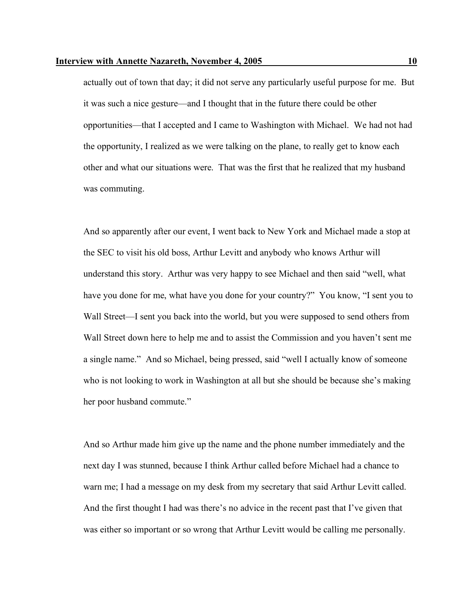actually out of town that day; it did not serve any particularly useful purpose for me. But it was such a nice gesture—and I thought that in the future there could be other opportunities—that I accepted and I came to Washington with Michael. We had not had the opportunity, I realized as we were talking on the plane, to really get to know each other and what our situations were. That was the first that he realized that my husband was commuting.

And so apparently after our event, I went back to New York and Michael made a stop at the SEC to visit his old boss, Arthur Levitt and anybody who knows Arthur will understand this story. Arthur was very happy to see Michael and then said "well, what have you done for me, what have you done for your country?" You know, "I sent you to Wall Street—I sent you back into the world, but you were supposed to send others from Wall Street down here to help me and to assist the Commission and you haven't sent me a single name." And so Michael, being pressed, said "well I actually know of someone who is not looking to work in Washington at all but she should be because she's making her poor husband commute."

And so Arthur made him give up the name and the phone number immediately and the next day I was stunned, because I think Arthur called before Michael had a chance to warn me; I had a message on my desk from my secretary that said Arthur Levitt called. And the first thought I had was there's no advice in the recent past that I've given that was either so important or so wrong that Arthur Levitt would be calling me personally.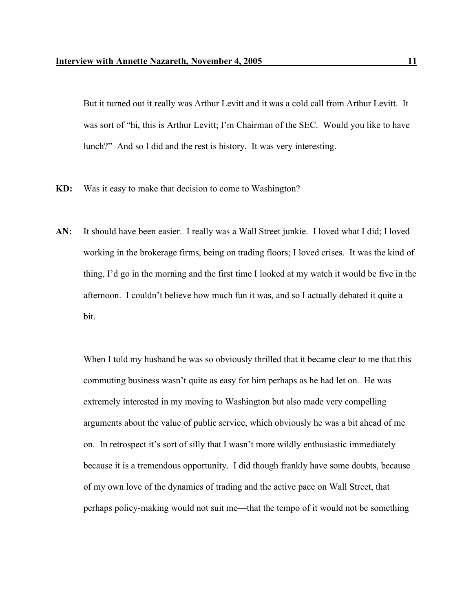But it turned out it really was Arthur Levitt and it was a cold call from Arthur Levitt. It was sort of "hi, this is Arthur Levitt; I'm Chairman of the SEC. Would you like to have lunch?" And so I did and the rest is history. It was very interesting.

- **KD:** Was it easy to make that decision to come to Washington?
- **AN:** It should have been easier. I really was a Wall Street junkie. I loved what I did; I loved working in the brokerage firms, being on trading floors; I loved crises. It was the kind of thing, I'd go in the morning and the first time I looked at my watch it would be five in the afternoon. I couldn't believe how much fun it was, and so I actually debated it quite a bit.

When I told my husband he was so obviously thrilled that it became clear to me that this commuting business wasn't quite as easy for him perhaps as he had let on. He was extremely interested in my moving to Washington but also made very compelling arguments about the value of public service, which obviously he was a bit ahead of me on. In retrospect it's sort of silly that I wasn't more wildly enthusiastic immediately because it is a tremendous opportunity. I did though frankly have some doubts, because of my own love of the dynamics of trading and the active pace on Wall Street, that perhaps policy-making would not suit me—that the tempo of it would not be something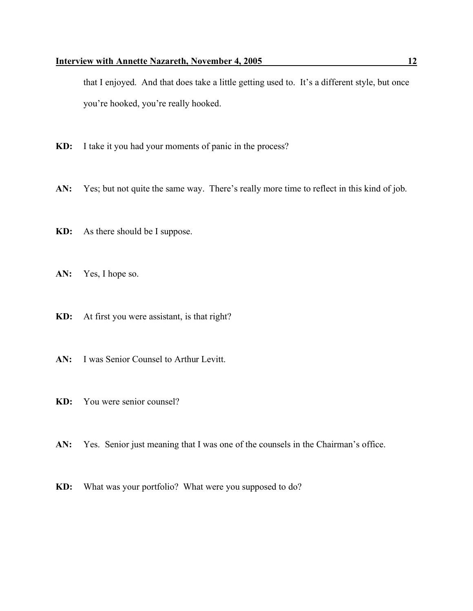that I enjoyed. And that does take a little getting used to. It's a different style, but once you're hooked, you're really hooked.

- **KD:** I take it you had your moments of panic in the process?
- **AN:** Yes; but not quite the same way. There's really more time to reflect in this kind of job.
- **KD:** As there should be I suppose.
- **AN:** Yes, I hope so.
- **KD:** At first you were assistant, is that right?
- **AN:** I was Senior Counsel to Arthur Levitt.
- **KD:** You were senior counsel?
- AN: Yes. Senior just meaning that I was one of the counsels in the Chairman's office.
- **KD:** What was your portfolio? What were you supposed to do?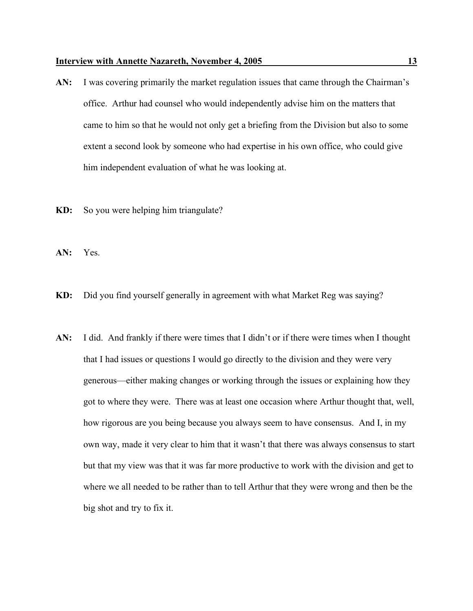- **AN:** I was covering primarily the market regulation issues that came through the Chairman's office. Arthur had counsel who would independently advise him on the matters that came to him so that he would not only get a briefing from the Division but also to some extent a second look by someone who had expertise in his own office, who could give him independent evaluation of what he was looking at.
- **KD:** So you were helping him triangulate?
- **AN:** Yes.
- **KD:** Did you find yourself generally in agreement with what Market Reg was saying?
- **AN:** I did. And frankly if there were times that I didn't or if there were times when I thought that I had issues or questions I would go directly to the division and they were very generous—either making changes or working through the issues or explaining how they got to where they were. There was at least one occasion where Arthur thought that, well, how rigorous are you being because you always seem to have consensus. And I, in my own way, made it very clear to him that it wasn't that there was always consensus to start but that my view was that it was far more productive to work with the division and get to where we all needed to be rather than to tell Arthur that they were wrong and then be the big shot and try to fix it.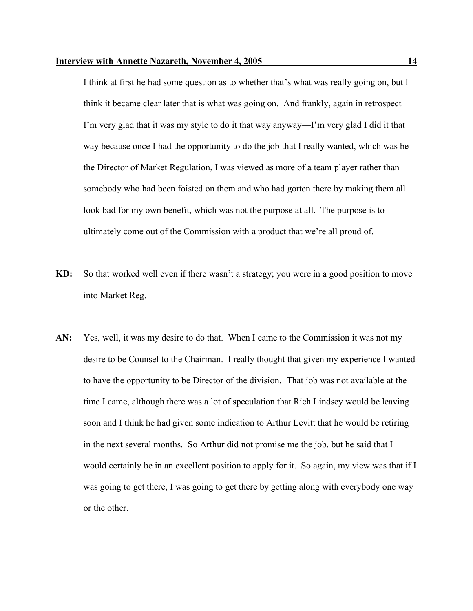I think at first he had some question as to whether that's what was really going on, but I think it became clear later that is what was going on. And frankly, again in retrospect— I'm very glad that it was my style to do it that way anyway—I'm very glad I did it that way because once I had the opportunity to do the job that I really wanted, which was be the Director of Market Regulation, I was viewed as more of a team player rather than somebody who had been foisted on them and who had gotten there by making them all look bad for my own benefit, which was not the purpose at all. The purpose is to ultimately come out of the Commission with a product that we're all proud of.

- **KD:** So that worked well even if there wasn't a strategy; you were in a good position to move into Market Reg.
- **AN:** Yes, well, it was my desire to do that. When I came to the Commission it was not my desire to be Counsel to the Chairman. I really thought that given my experience I wanted to have the opportunity to be Director of the division. That job was not available at the time I came, although there was a lot of speculation that Rich Lindsey would be leaving soon and I think he had given some indication to Arthur Levitt that he would be retiring in the next several months. So Arthur did not promise me the job, but he said that I would certainly be in an excellent position to apply for it. So again, my view was that if I was going to get there, I was going to get there by getting along with everybody one way or the other.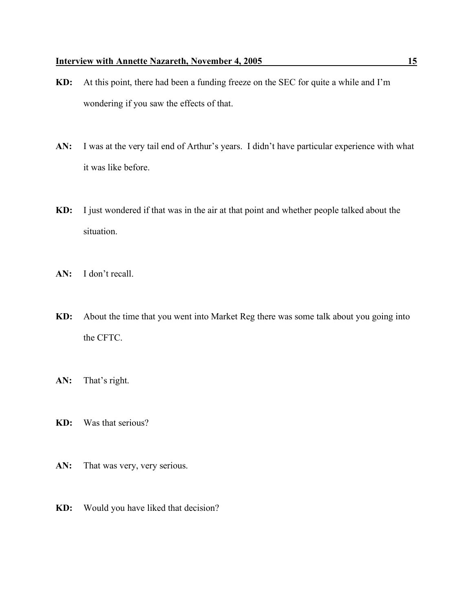- **KD:** At this point, there had been a funding freeze on the SEC for quite a while and I'm wondering if you saw the effects of that.
- **AN:** I was at the very tail end of Arthur's years. I didn't have particular experience with what it was like before.
- **KD:** I just wondered if that was in the air at that point and whether people talked about the situation.
- **AN:** I don't recall.
- **KD:** About the time that you went into Market Reg there was some talk about you going into the CFTC.
- **AN:** That's right.
- **KD:** Was that serious?
- AN: That was very, very serious.
- **KD:** Would you have liked that decision?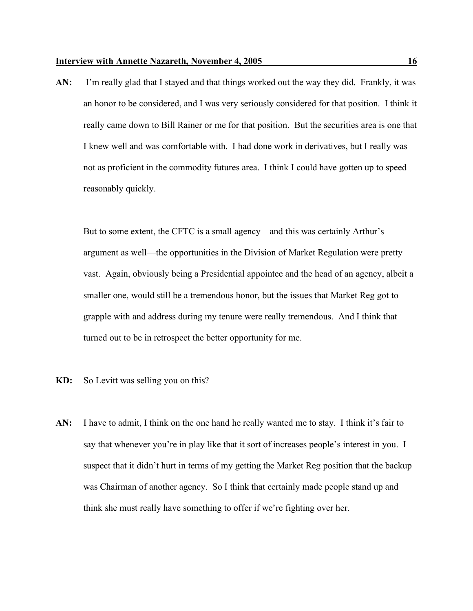**AN:** I'm really glad that I stayed and that things worked out the way they did. Frankly, it was an honor to be considered, and I was very seriously considered for that position. I think it really came down to Bill Rainer or me for that position. But the securities area is one that I knew well and was comfortable with. I had done work in derivatives, but I really was not as proficient in the commodity futures area. I think I could have gotten up to speed reasonably quickly.

But to some extent, the CFTC is a small agency—and this was certainly Arthur's argument as well—the opportunities in the Division of Market Regulation were pretty vast. Again, obviously being a Presidential appointee and the head of an agency, albeit a smaller one, would still be a tremendous honor, but the issues that Market Reg got to grapple with and address during my tenure were really tremendous. And I think that turned out to be in retrospect the better opportunity for me.

- **KD:** So Levitt was selling you on this?
- **AN:** I have to admit, I think on the one hand he really wanted me to stay. I think it's fair to say that whenever you're in play like that it sort of increases people's interest in you. I suspect that it didn't hurt in terms of my getting the Market Reg position that the backup was Chairman of another agency. So I think that certainly made people stand up and think she must really have something to offer if we're fighting over her.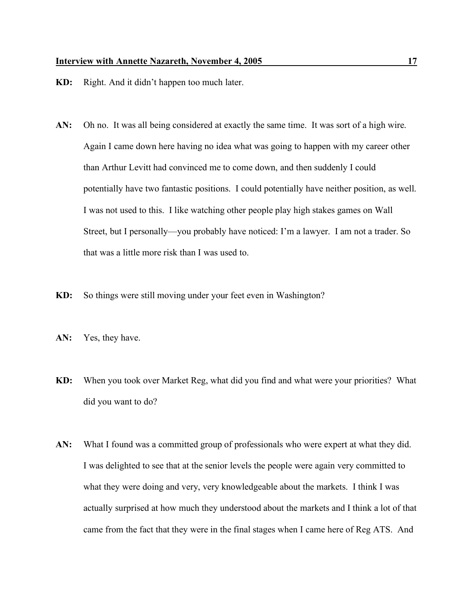- **KD:** Right. And it didn't happen too much later.
- **AN:** Oh no. It was all being considered at exactly the same time. It was sort of a high wire. Again I came down here having no idea what was going to happen with my career other than Arthur Levitt had convinced me to come down, and then suddenly I could potentially have two fantastic positions. I could potentially have neither position, as well. I was not used to this. I like watching other people play high stakes games on Wall Street, but I personally—you probably have noticed: I'm a lawyer. I am not a trader. So that was a little more risk than I was used to.
- **KD:** So things were still moving under your feet even in Washington?
- **AN:** Yes, they have.
- **KD:** When you took over Market Reg, what did you find and what were your priorities? What did you want to do?
- **AN:** What I found was a committed group of professionals who were expert at what they did. I was delighted to see that at the senior levels the people were again very committed to what they were doing and very, very knowledgeable about the markets. I think I was actually surprised at how much they understood about the markets and I think a lot of that came from the fact that they were in the final stages when I came here of Reg ATS. And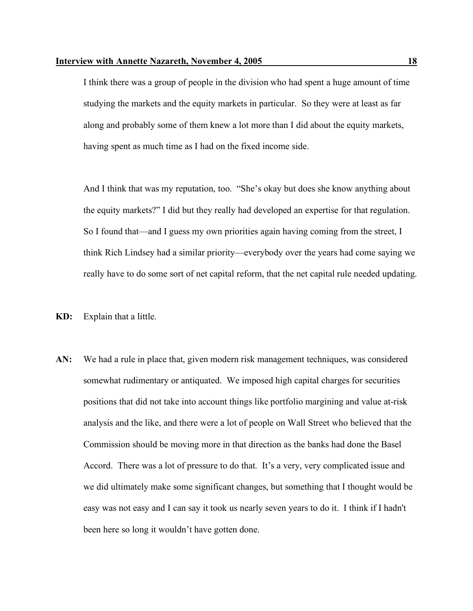I think there was a group of people in the division who had spent a huge amount of time studying the markets and the equity markets in particular. So they were at least as far along and probably some of them knew a lot more than I did about the equity markets, having spent as much time as I had on the fixed income side.

And I think that was my reputation, too. "She's okay but does she know anything about the equity markets?" I did but they really had developed an expertise for that regulation. So I found that—and I guess my own priorities again having coming from the street, I think Rich Lindsey had a similar priority—everybody over the years had come saying we really have to do some sort of net capital reform, that the net capital rule needed updating.

- **KD:** Explain that a little.
- **AN:** We had a rule in place that, given modern risk management techniques, was considered somewhat rudimentary or antiquated. We imposed high capital charges for securities positions that did not take into account things like portfolio margining and value at-risk analysis and the like, and there were a lot of people on Wall Street who believed that the Commission should be moving more in that direction as the banks had done the Basel Accord. There was a lot of pressure to do that. It's a very, very complicated issue and we did ultimately make some significant changes, but something that I thought would be easy was not easy and I can say it took us nearly seven years to do it. I think if I hadn't been here so long it wouldn't have gotten done.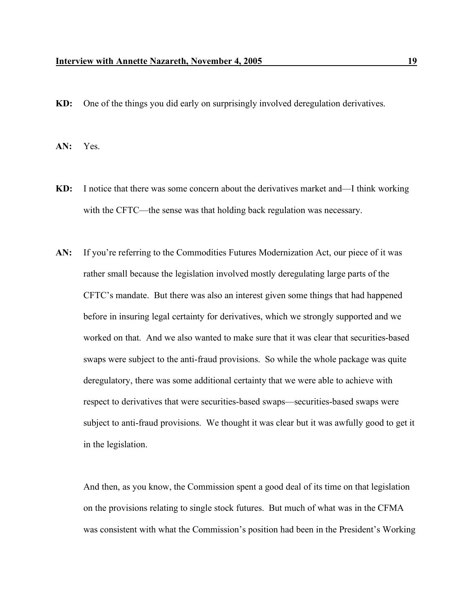**KD:** One of the things you did early on surprisingly involved deregulation derivatives.

**AN:** Yes.

- **KD:** I notice that there was some concern about the derivatives market and—I think working with the CFTC—the sense was that holding back regulation was necessary.
- AN: If you're referring to the Commodities Futures Modernization Act, our piece of it was rather small because the legislation involved mostly deregulating large parts of the CFTC's mandate. But there was also an interest given some things that had happened before in insuring legal certainty for derivatives, which we strongly supported and we worked on that. And we also wanted to make sure that it was clear that securities-based swaps were subject to the anti-fraud provisions. So while the whole package was quite deregulatory, there was some additional certainty that we were able to achieve with respect to derivatives that were securities-based swaps—securities-based swaps were subject to anti-fraud provisions. We thought it was clear but it was awfully good to get it in the legislation.

And then, as you know, the Commission spent a good deal of its time on that legislation on the provisions relating to single stock futures. But much of what was in the CFMA was consistent with what the Commission's position had been in the President's Working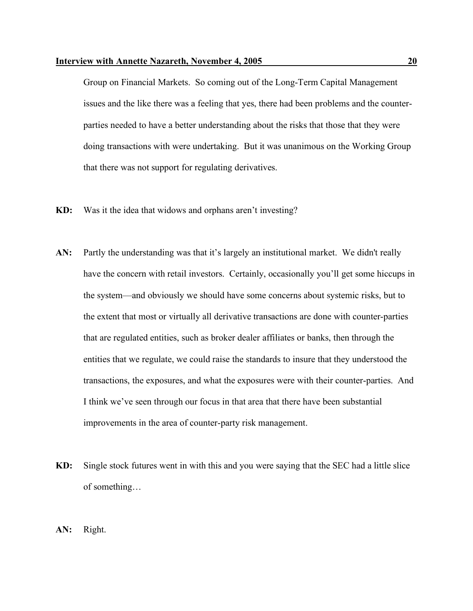Group on Financial Markets. So coming out of the Long-Term Capital Management issues and the like there was a feeling that yes, there had been problems and the counterparties needed to have a better understanding about the risks that those that they were doing transactions with were undertaking. But it was unanimous on the Working Group that there was not support for regulating derivatives.

- **KD:** Was it the idea that widows and orphans aren't investing?
- AN: Partly the understanding was that it's largely an institutional market. We didn't really have the concern with retail investors. Certainly, occasionally you'll get some hiccups in the system—and obviously we should have some concerns about systemic risks, but to the extent that most or virtually all derivative transactions are done with counter-parties that are regulated entities, such as broker dealer affiliates or banks, then through the entities that we regulate, we could raise the standards to insure that they understood the transactions, the exposures, and what the exposures were with their counter-parties. And I think we've seen through our focus in that area that there have been substantial improvements in the area of counter-party risk management.
- **KD:** Single stock futures went in with this and you were saying that the SEC had a little slice of something…
- **AN:** Right.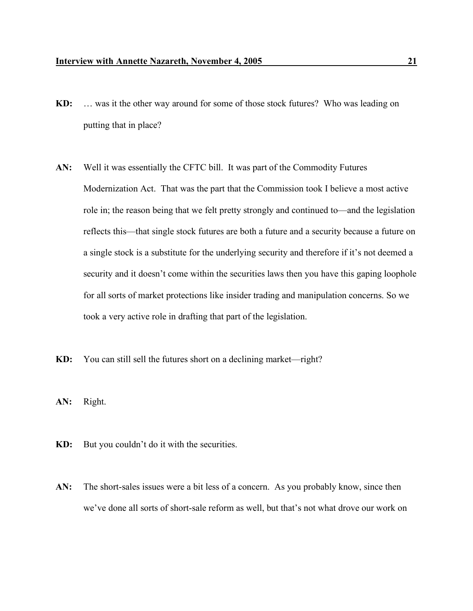- **KD:** … was it the other way around for some of those stock futures? Who was leading on putting that in place?
- **AN:** Well it was essentially the CFTC bill. It was part of the Commodity Futures Modernization Act. That was the part that the Commission took I believe a most active role in; the reason being that we felt pretty strongly and continued to—and the legislation reflects this—that single stock futures are both a future and a security because a future on a single stock is a substitute for the underlying security and therefore if it's not deemed a security and it doesn't come within the securities laws then you have this gaping loophole for all sorts of market protections like insider trading and manipulation concerns. So we took a very active role in drafting that part of the legislation.
- **KD:** You can still sell the futures short on a declining market—right?
- **AN:** Right.
- **KD:** But you couldn't do it with the securities.
- AN: The short-sales issues were a bit less of a concern. As you probably know, since then we've done all sorts of short-sale reform as well, but that's not what drove our work on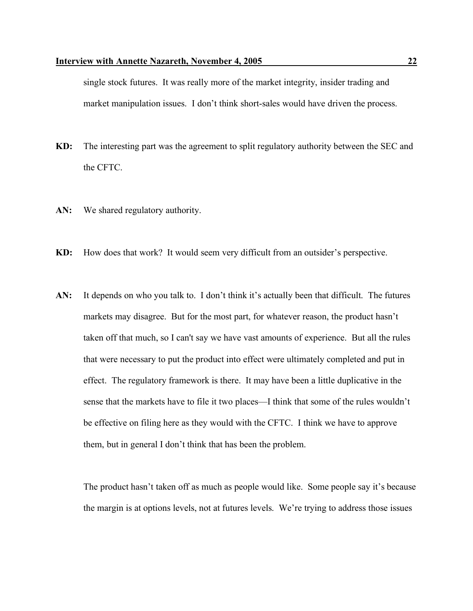single stock futures. It was really more of the market integrity, insider trading and market manipulation issues. I don't think short-sales would have driven the process.

- **KD:** The interesting part was the agreement to split regulatory authority between the SEC and the CFTC.
- **AN:** We shared regulatory authority.
- **KD:** How does that work? It would seem very difficult from an outsider's perspective.
- **AN:** It depends on who you talk to. I don't think it's actually been that difficult. The futures markets may disagree. But for the most part, for whatever reason, the product hasn't taken off that much, so I can't say we have vast amounts of experience. But all the rules that were necessary to put the product into effect were ultimately completed and put in effect. The regulatory framework is there. It may have been a little duplicative in the sense that the markets have to file it two places—I think that some of the rules wouldn't be effective on filing here as they would with the CFTC. I think we have to approve them, but in general I don't think that has been the problem.

The product hasn't taken off as much as people would like. Some people say it's because the margin is at options levels, not at futures levels. We're trying to address those issues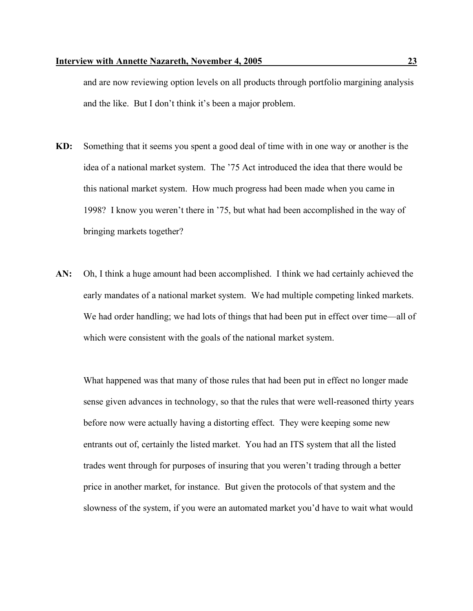and are now reviewing option levels on all products through portfolio margining analysis and the like. But I don't think it's been a major problem.

- **KD:** Something that it seems you spent a good deal of time with in one way or another is the idea of a national market system. The '75 Act introduced the idea that there would be this national market system. How much progress had been made when you came in 1998? I know you weren't there in '75, but what had been accomplished in the way of bringing markets together?
- **AN:** Oh, I think a huge amount had been accomplished. I think we had certainly achieved the early mandates of a national market system. We had multiple competing linked markets. We had order handling; we had lots of things that had been put in effect over time—all of which were consistent with the goals of the national market system.

What happened was that many of those rules that had been put in effect no longer made sense given advances in technology, so that the rules that were well-reasoned thirty years before now were actually having a distorting effect. They were keeping some new entrants out of, certainly the listed market. You had an ITS system that all the listed trades went through for purposes of insuring that you weren't trading through a better price in another market, for instance. But given the protocols of that system and the slowness of the system, if you were an automated market you'd have to wait what would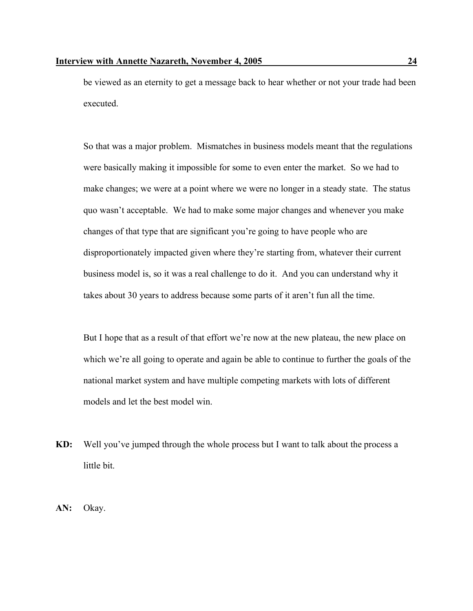be viewed as an eternity to get a message back to hear whether or not your trade had been executed.

So that was a major problem. Mismatches in business models meant that the regulations were basically making it impossible for some to even enter the market. So we had to make changes; we were at a point where we were no longer in a steady state. The status quo wasn't acceptable. We had to make some major changes and whenever you make changes of that type that are significant you're going to have people who are disproportionately impacted given where they're starting from, whatever their current business model is, so it was a real challenge to do it. And you can understand why it takes about 30 years to address because some parts of it aren't fun all the time.

But I hope that as a result of that effort we're now at the new plateau, the new place on which we're all going to operate and again be able to continue to further the goals of the national market system and have multiple competing markets with lots of different models and let the best model win.

- **KD:** Well you've jumped through the whole process but I want to talk about the process a little bit.
- **AN:** Okay.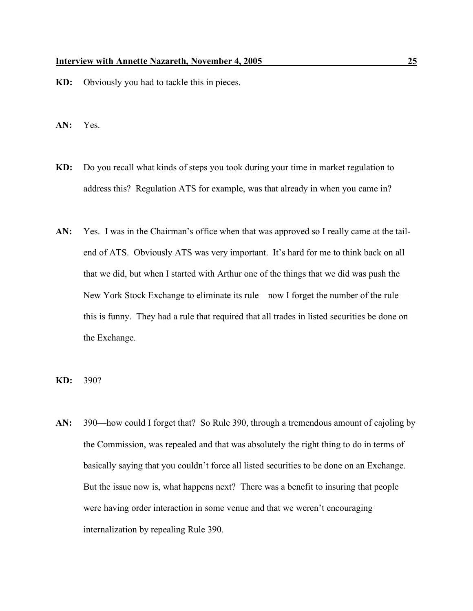- **KD:** Obviously you had to tackle this in pieces.
- **AN:** Yes.
- **KD:** Do you recall what kinds of steps you took during your time in market regulation to address this? Regulation ATS for example, was that already in when you came in?
- **AN:** Yes. I was in the Chairman's office when that was approved so I really came at the tailend of ATS. Obviously ATS was very important. It's hard for me to think back on all that we did, but when I started with Arthur one of the things that we did was push the New York Stock Exchange to eliminate its rule—now I forget the number of the rule this is funny. They had a rule that required that all trades in listed securities be done on the Exchange.
- **KD:** 390?
- **AN:** 390—how could I forget that? So Rule 390, through a tremendous amount of cajoling by the Commission, was repealed and that was absolutely the right thing to do in terms of basically saying that you couldn't force all listed securities to be done on an Exchange. But the issue now is, what happens next? There was a benefit to insuring that people were having order interaction in some venue and that we weren't encouraging internalization by repealing Rule 390.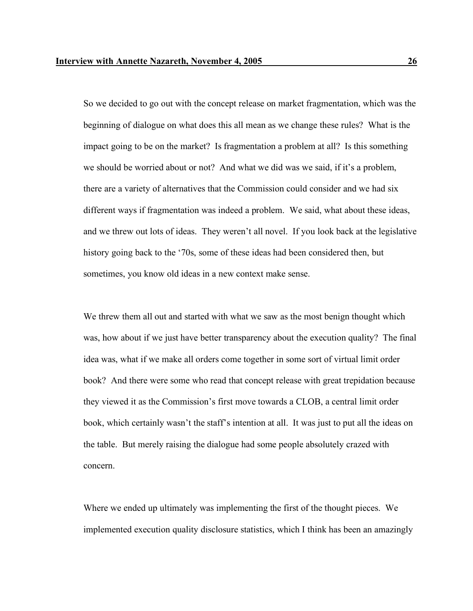So we decided to go out with the concept release on market fragmentation, which was the beginning of dialogue on what does this all mean as we change these rules? What is the impact going to be on the market? Is fragmentation a problem at all? Is this something we should be worried about or not? And what we did was we said, if it's a problem, there are a variety of alternatives that the Commission could consider and we had six different ways if fragmentation was indeed a problem. We said, what about these ideas, and we threw out lots of ideas. They weren't all novel. If you look back at the legislative history going back to the '70s, some of these ideas had been considered then, but sometimes, you know old ideas in a new context make sense.

We threw them all out and started with what we saw as the most benign thought which was, how about if we just have better transparency about the execution quality? The final idea was, what if we make all orders come together in some sort of virtual limit order book? And there were some who read that concept release with great trepidation because they viewed it as the Commission's first move towards a CLOB, a central limit order book, which certainly wasn't the staff's intention at all. It was just to put all the ideas on the table. But merely raising the dialogue had some people absolutely crazed with concern.

Where we ended up ultimately was implementing the first of the thought pieces. We implemented execution quality disclosure statistics, which I think has been an amazingly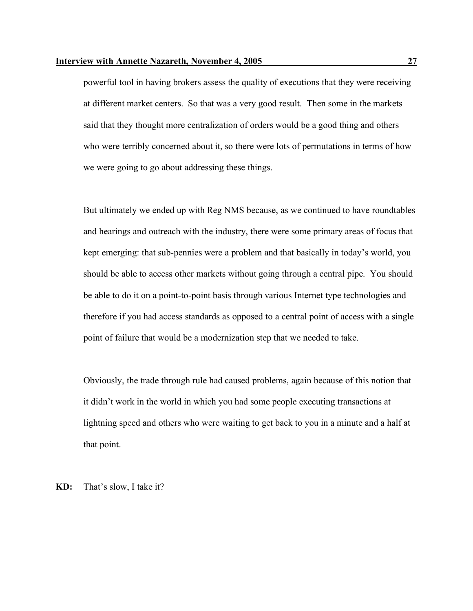powerful tool in having brokers assess the quality of executions that they were receiving at different market centers. So that was a very good result. Then some in the markets said that they thought more centralization of orders would be a good thing and others who were terribly concerned about it, so there were lots of permutations in terms of how we were going to go about addressing these things.

But ultimately we ended up with Reg NMS because, as we continued to have roundtables and hearings and outreach with the industry, there were some primary areas of focus that kept emerging: that sub-pennies were a problem and that basically in today's world, you should be able to access other markets without going through a central pipe. You should be able to do it on a point-to-point basis through various Internet type technologies and therefore if you had access standards as opposed to a central point of access with a single point of failure that would be a modernization step that we needed to take.

Obviously, the trade through rule had caused problems, again because of this notion that it didn't work in the world in which you had some people executing transactions at lightning speed and others who were waiting to get back to you in a minute and a half at that point.

**KD:** That's slow, I take it?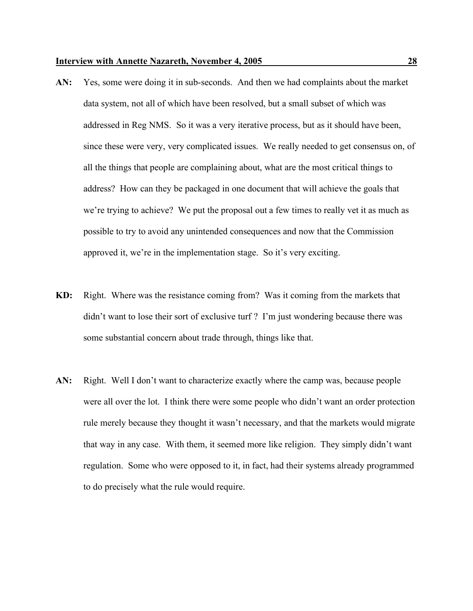- **AN:** Yes, some were doing it in sub-seconds. And then we had complaints about the market data system, not all of which have been resolved, but a small subset of which was addressed in Reg NMS. So it was a very iterative process, but as it should have been, since these were very, very complicated issues. We really needed to get consensus on, of all the things that people are complaining about, what are the most critical things to address? How can they be packaged in one document that will achieve the goals that we're trying to achieve? We put the proposal out a few times to really vet it as much as possible to try to avoid any unintended consequences and now that the Commission approved it, we're in the implementation stage. So it's very exciting.
- **KD:** Right. Where was the resistance coming from? Was it coming from the markets that didn't want to lose their sort of exclusive turf ? I'm just wondering because there was some substantial concern about trade through, things like that.
- **AN:** Right. Well I don't want to characterize exactly where the camp was, because people were all over the lot. I think there were some people who didn't want an order protection rule merely because they thought it wasn't necessary, and that the markets would migrate that way in any case. With them, it seemed more like religion. They simply didn't want regulation. Some who were opposed to it, in fact, had their systems already programmed to do precisely what the rule would require.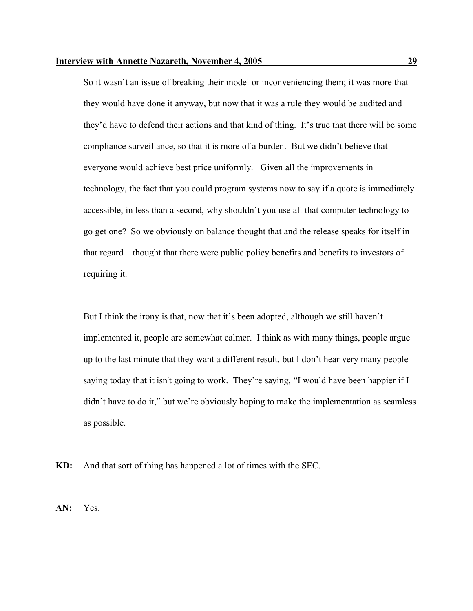So it wasn't an issue of breaking their model or inconveniencing them; it was more that they would have done it anyway, but now that it was a rule they would be audited and they'd have to defend their actions and that kind of thing. It's true that there will be some compliance surveillance, so that it is more of a burden. But we didn't believe that everyone would achieve best price uniformly. Given all the improvements in technology, the fact that you could program systems now to say if a quote is immediately accessible, in less than a second, why shouldn't you use all that computer technology to go get one? So we obviously on balance thought that and the release speaks for itself in that regard—thought that there were public policy benefits and benefits to investors of requiring it.

But I think the irony is that, now that it's been adopted, although we still haven't implemented it, people are somewhat calmer. I think as with many things, people argue up to the last minute that they want a different result, but I don't hear very many people saying today that it isn't going to work. They're saying, "I would have been happier if I didn't have to do it," but we're obviously hoping to make the implementation as seamless as possible.

**KD:** And that sort of thing has happened a lot of times with the SEC.

**AN:** Yes.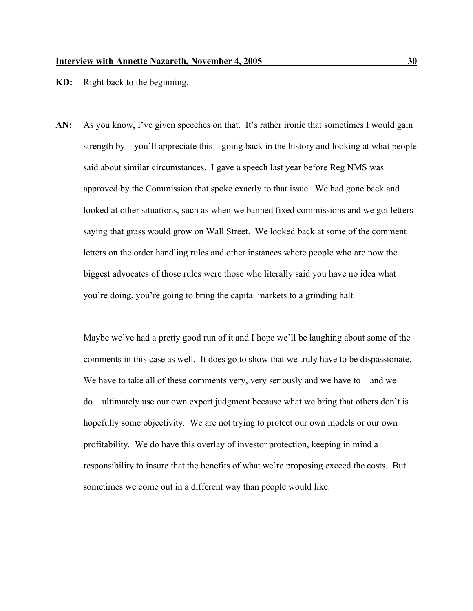- **KD:** Right back to the beginning.
- AN: As you know, I've given speeches on that. It's rather ironic that sometimes I would gain strength by—you'll appreciate this—going back in the history and looking at what people said about similar circumstances. I gave a speech last year before Reg NMS was approved by the Commission that spoke exactly to that issue. We had gone back and looked at other situations, such as when we banned fixed commissions and we got letters saying that grass would grow on Wall Street. We looked back at some of the comment letters on the order handling rules and other instances where people who are now the biggest advocates of those rules were those who literally said you have no idea what you're doing, you're going to bring the capital markets to a grinding halt.

Maybe we've had a pretty good run of it and I hope we'll be laughing about some of the comments in this case as well. It does go to show that we truly have to be dispassionate. We have to take all of these comments very, very seriously and we have to—and we do—ultimately use our own expert judgment because what we bring that others don't is hopefully some objectivity. We are not trying to protect our own models or our own profitability. We do have this overlay of investor protection, keeping in mind a responsibility to insure that the benefits of what we're proposing exceed the costs. But sometimes we come out in a different way than people would like.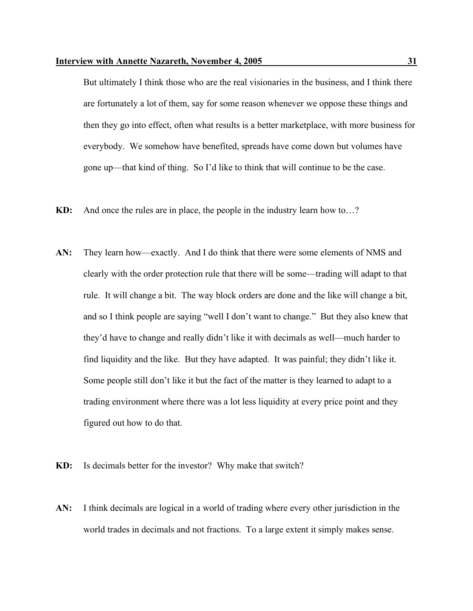But ultimately I think those who are the real visionaries in the business, and I think there are fortunately a lot of them, say for some reason whenever we oppose these things and then they go into effect, often what results is a better marketplace, with more business for everybody. We somehow have benefited, spreads have come down but volumes have gone up—that kind of thing. So I'd like to think that will continue to be the case.

- **KD:** And once the rules are in place, the people in the industry learn how to…?
- **AN:** They learn how—exactly. And I do think that there were some elements of NMS and clearly with the order protection rule that there will be some—trading will adapt to that rule. It will change a bit. The way block orders are done and the like will change a bit, and so I think people are saying "well I don't want to change." But they also knew that they'd have to change and really didn't like it with decimals as well—much harder to find liquidity and the like. But they have adapted. It was painful; they didn't like it. Some people still don't like it but the fact of the matter is they learned to adapt to a trading environment where there was a lot less liquidity at every price point and they figured out how to do that.
- **KD:** Is decimals better for the investor? Why make that switch?
- **AN:** I think decimals are logical in a world of trading where every other jurisdiction in the world trades in decimals and not fractions. To a large extent it simply makes sense.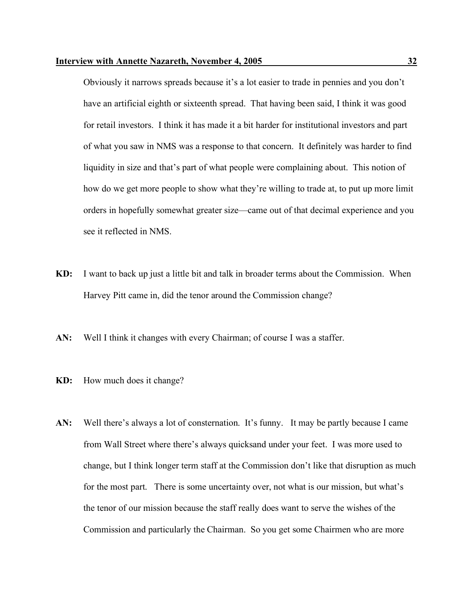Obviously it narrows spreads because it's a lot easier to trade in pennies and you don't have an artificial eighth or sixteenth spread. That having been said, I think it was good for retail investors. I think it has made it a bit harder for institutional investors and part of what you saw in NMS was a response to that concern. It definitely was harder to find liquidity in size and that's part of what people were complaining about. This notion of how do we get more people to show what they're willing to trade at, to put up more limit orders in hopefully somewhat greater size—came out of that decimal experience and you see it reflected in NMS.

- **KD:** I want to back up just a little bit and talk in broader terms about the Commission. When Harvey Pitt came in, did the tenor around the Commission change?
- **AN:** Well I think it changes with every Chairman; of course I was a staffer.
- **KD:** How much does it change?
- AN: Well there's always a lot of consternation. It's funny. It may be partly because I came from Wall Street where there's always quicksand under your feet. I was more used to change, but I think longer term staff at the Commission don't like that disruption as much for the most part. There is some uncertainty over, not what is our mission, but what's the tenor of our mission because the staff really does want to serve the wishes of the Commission and particularly the Chairman. So you get some Chairmen who are more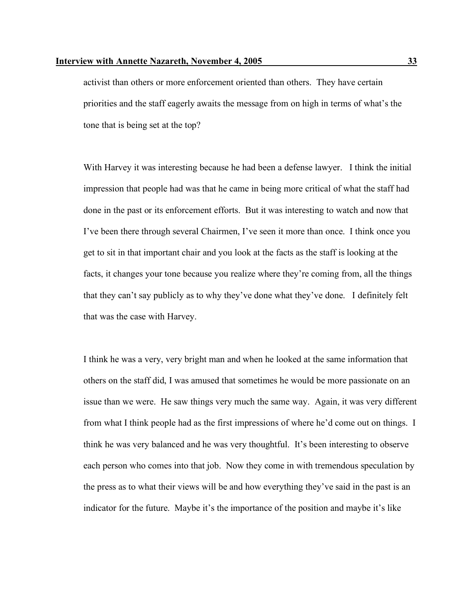activist than others or more enforcement oriented than others. They have certain priorities and the staff eagerly awaits the message from on high in terms of what's the tone that is being set at the top?

With Harvey it was interesting because he had been a defense lawyer. I think the initial impression that people had was that he came in being more critical of what the staff had done in the past or its enforcement efforts. But it was interesting to watch and now that I've been there through several Chairmen, I've seen it more than once. I think once you get to sit in that important chair and you look at the facts as the staff is looking at the facts, it changes your tone because you realize where they're coming from, all the things that they can't say publicly as to why they've done what they've done. I definitely felt that was the case with Harvey.

I think he was a very, very bright man and when he looked at the same information that others on the staff did, I was amused that sometimes he would be more passionate on an issue than we were. He saw things very much the same way. Again, it was very different from what I think people had as the first impressions of where he'd come out on things. I think he was very balanced and he was very thoughtful. It's been interesting to observe each person who comes into that job. Now they come in with tremendous speculation by the press as to what their views will be and how everything they've said in the past is an indicator for the future. Maybe it's the importance of the position and maybe it's like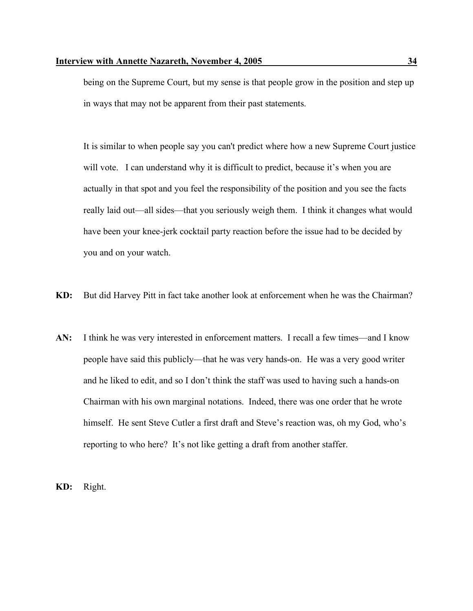being on the Supreme Court, but my sense is that people grow in the position and step up in ways that may not be apparent from their past statements.

It is similar to when people say you can't predict where how a new Supreme Court justice will vote. I can understand why it is difficult to predict, because it's when you are actually in that spot and you feel the responsibility of the position and you see the facts really laid out—all sides—that you seriously weigh them. I think it changes what would have been your knee-jerk cocktail party reaction before the issue had to be decided by you and on your watch.

- **KD:** But did Harvey Pitt in fact take another look at enforcement when he was the Chairman?
- **AN:** I think he was very interested in enforcement matters. I recall a few times—and I know people have said this publicly—that he was very hands-on. He was a very good writer and he liked to edit, and so I don't think the staff was used to having such a hands-on Chairman with his own marginal notations. Indeed, there was one order that he wrote himself. He sent Steve Cutler a first draft and Steve's reaction was, oh my God, who's reporting to who here? It's not like getting a draft from another staffer.

**KD:** Right.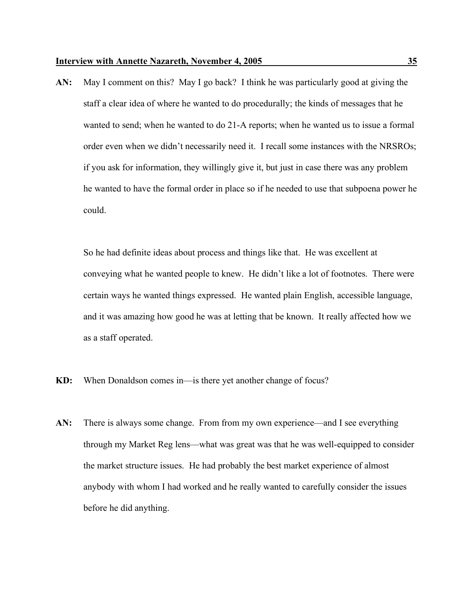**AN:** May I comment on this? May I go back? I think he was particularly good at giving the staff a clear idea of where he wanted to do procedurally; the kinds of messages that he wanted to send; when he wanted to do 21-A reports; when he wanted us to issue a formal order even when we didn't necessarily need it. I recall some instances with the NRSROs; if you ask for information, they willingly give it, but just in case there was any problem he wanted to have the formal order in place so if he needed to use that subpoena power he could.

So he had definite ideas about process and things like that. He was excellent at conveying what he wanted people to knew. He didn't like a lot of footnotes. There were certain ways he wanted things expressed. He wanted plain English, accessible language, and it was amazing how good he was at letting that be known. It really affected how we as a staff operated.

- **KD:** When Donaldson comes in—is there yet another change of focus?
- **AN:** There is always some change. From from my own experience—and I see everything through my Market Reg lens—what was great was that he was well-equipped to consider the market structure issues. He had probably the best market experience of almost anybody with whom I had worked and he really wanted to carefully consider the issues before he did anything.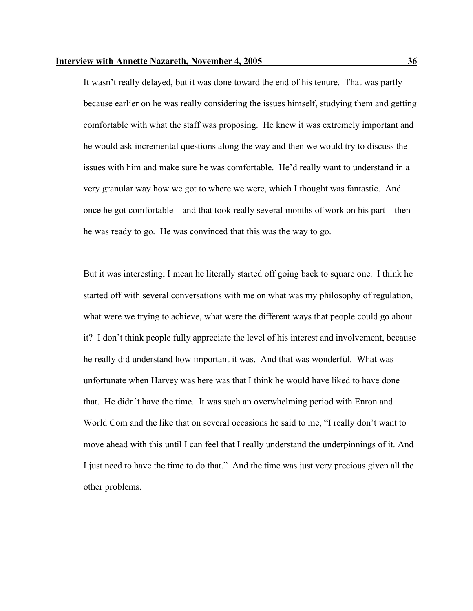It wasn't really delayed, but it was done toward the end of his tenure. That was partly because earlier on he was really considering the issues himself, studying them and getting comfortable with what the staff was proposing. He knew it was extremely important and he would ask incremental questions along the way and then we would try to discuss the issues with him and make sure he was comfortable. He'd really want to understand in a very granular way how we got to where we were, which I thought was fantastic. And once he got comfortable—and that took really several months of work on his part—then he was ready to go. He was convinced that this was the way to go.

But it was interesting; I mean he literally started off going back to square one. I think he started off with several conversations with me on what was my philosophy of regulation, what were we trying to achieve, what were the different ways that people could go about it? I don't think people fully appreciate the level of his interest and involvement, because he really did understand how important it was. And that was wonderful. What was unfortunate when Harvey was here was that I think he would have liked to have done that. He didn't have the time. It was such an overwhelming period with Enron and World Com and the like that on several occasions he said to me, "I really don't want to move ahead with this until I can feel that I really understand the underpinnings of it. And I just need to have the time to do that." And the time was just very precious given all the other problems.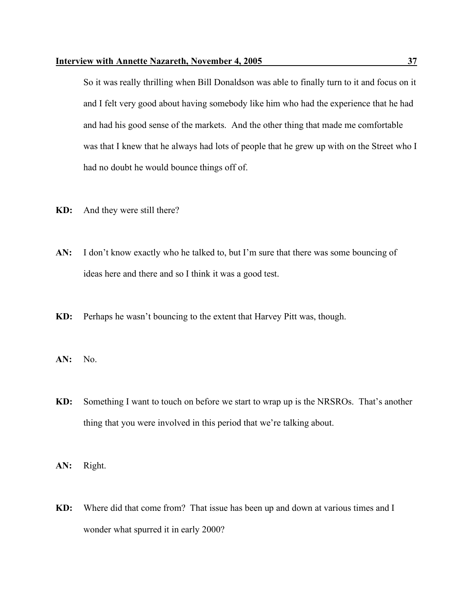So it was really thrilling when Bill Donaldson was able to finally turn to it and focus on it and I felt very good about having somebody like him who had the experience that he had and had his good sense of the markets. And the other thing that made me comfortable was that I knew that he always had lots of people that he grew up with on the Street who I had no doubt he would bounce things off of.

- **KD:** And they were still there?
- **AN:** I don't know exactly who he talked to, but I'm sure that there was some bouncing of ideas here and there and so I think it was a good test.
- **KD:** Perhaps he wasn't bouncing to the extent that Harvey Pitt was, though.
- **AN:** No.
- **KD:** Something I want to touch on before we start to wrap up is the NRSROs. That's another thing that you were involved in this period that we're talking about.
- **AN:** Right.
- **KD:** Where did that come from? That issue has been up and down at various times and I wonder what spurred it in early 2000?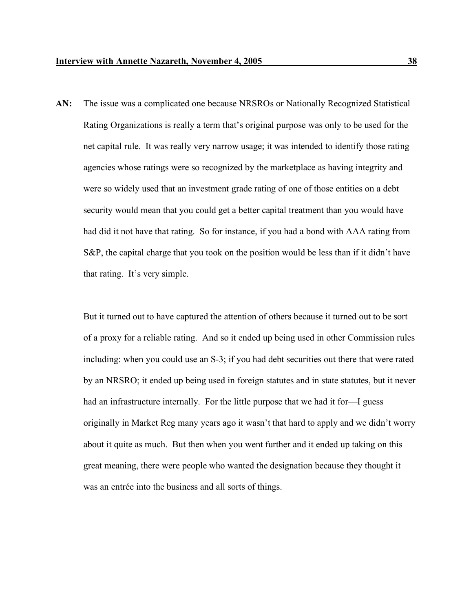**AN:** The issue was a complicated one because NRSROs or Nationally Recognized Statistical Rating Organizations is really a term that's original purpose was only to be used for the net capital rule. It was really very narrow usage; it was intended to identify those rating agencies whose ratings were so recognized by the marketplace as having integrity and were so widely used that an investment grade rating of one of those entities on a debt security would mean that you could get a better capital treatment than you would have had did it not have that rating. So for instance, if you had a bond with AAA rating from S&P, the capital charge that you took on the position would be less than if it didn't have that rating. It's very simple.

But it turned out to have captured the attention of others because it turned out to be sort of a proxy for a reliable rating. And so it ended up being used in other Commission rules including: when you could use an S-3; if you had debt securities out there that were rated by an NRSRO; it ended up being used in foreign statutes and in state statutes, but it never had an infrastructure internally. For the little purpose that we had it for—I guess originally in Market Reg many years ago it wasn't that hard to apply and we didn't worry about it quite as much. But then when you went further and it ended up taking on this great meaning, there were people who wanted the designation because they thought it was an entrée into the business and all sorts of things.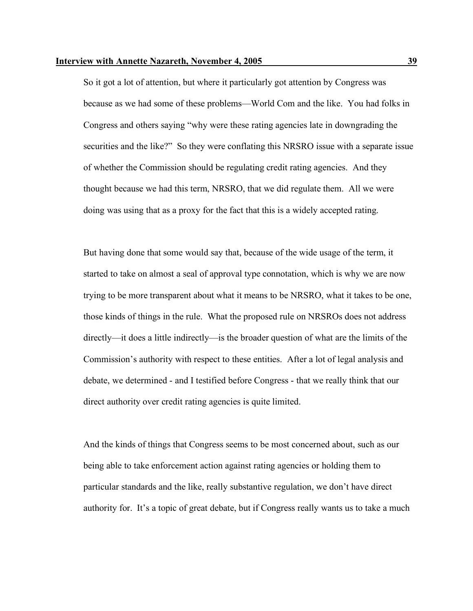So it got a lot of attention, but where it particularly got attention by Congress was because as we had some of these problems—World Com and the like. You had folks in Congress and others saying "why were these rating agencies late in downgrading the securities and the like?" So they were conflating this NRSRO issue with a separate issue of whether the Commission should be regulating credit rating agencies. And they thought because we had this term, NRSRO, that we did regulate them. All we were doing was using that as a proxy for the fact that this is a widely accepted rating.

But having done that some would say that, because of the wide usage of the term, it started to take on almost a seal of approval type connotation, which is why we are now trying to be more transparent about what it means to be NRSRO, what it takes to be one, those kinds of things in the rule. What the proposed rule on NRSROs does not address directly—it does a little indirectly—is the broader question of what are the limits of the Commission's authority with respect to these entities. After a lot of legal analysis and debate, we determined - and I testified before Congress - that we really think that our direct authority over credit rating agencies is quite limited.

And the kinds of things that Congress seems to be most concerned about, such as our being able to take enforcement action against rating agencies or holding them to particular standards and the like, really substantive regulation, we don't have direct authority for. It's a topic of great debate, but if Congress really wants us to take a much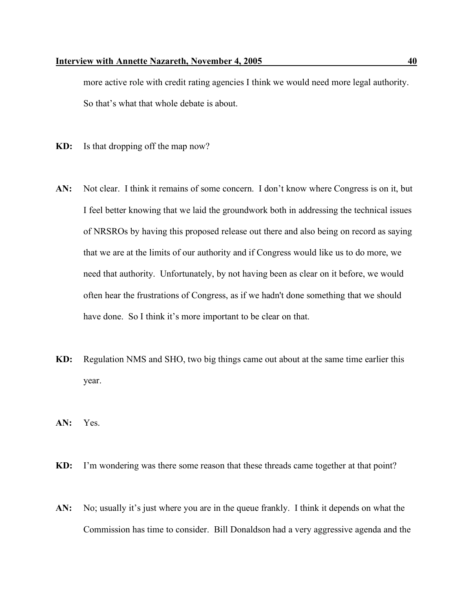more active role with credit rating agencies I think we would need more legal authority. So that's what that whole debate is about.

- **KD:** Is that dropping off the map now?
- AN: Not clear. I think it remains of some concern. I don't know where Congress is on it, but I feel better knowing that we laid the groundwork both in addressing the technical issues of NRSROs by having this proposed release out there and also being on record as saying that we are at the limits of our authority and if Congress would like us to do more, we need that authority. Unfortunately, by not having been as clear on it before, we would often hear the frustrations of Congress, as if we hadn't done something that we should have done. So I think it's more important to be clear on that.
- **KD:** Regulation NMS and SHO, two big things came out about at the same time earlier this year.
- **AN:** Yes.
- **KD:** I'm wondering was there some reason that these threads came together at that point?
- **AN:** No; usually it's just where you are in the queue frankly. I think it depends on what the Commission has time to consider. Bill Donaldson had a very aggressive agenda and the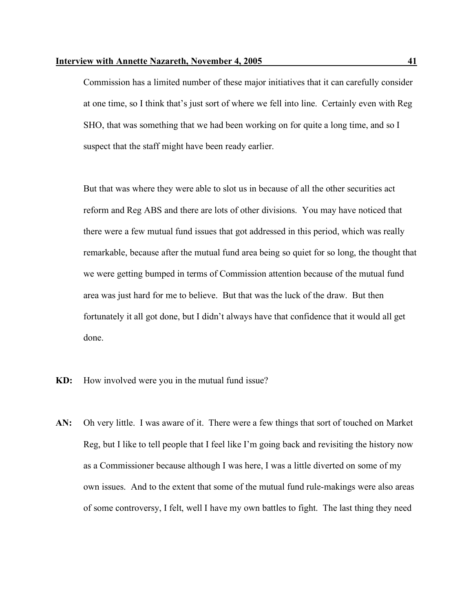Commission has a limited number of these major initiatives that it can carefully consider at one time, so I think that's just sort of where we fell into line. Certainly even with Reg SHO, that was something that we had been working on for quite a long time, and so I suspect that the staff might have been ready earlier.

But that was where they were able to slot us in because of all the other securities act reform and Reg ABS and there are lots of other divisions. You may have noticed that there were a few mutual fund issues that got addressed in this period, which was really remarkable, because after the mutual fund area being so quiet for so long, the thought that we were getting bumped in terms of Commission attention because of the mutual fund area was just hard for me to believe. But that was the luck of the draw. But then fortunately it all got done, but I didn't always have that confidence that it would all get done.

- **KD:** How involved were you in the mutual fund issue?
- **AN:** Oh very little. I was aware of it. There were a few things that sort of touched on Market Reg, but I like to tell people that I feel like I'm going back and revisiting the history now as a Commissioner because although I was here, I was a little diverted on some of my own issues. And to the extent that some of the mutual fund rule-makings were also areas of some controversy, I felt, well I have my own battles to fight. The last thing they need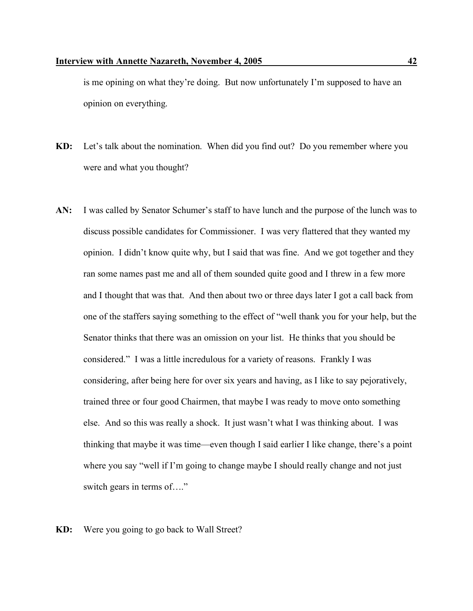is me opining on what they're doing. But now unfortunately I'm supposed to have an opinion on everything.

- **KD:** Let's talk about the nomination. When did you find out? Do you remember where you were and what you thought?
- **AN:** I was called by Senator Schumer's staff to have lunch and the purpose of the lunch was to discuss possible candidates for Commissioner. I was very flattered that they wanted my opinion. I didn't know quite why, but I said that was fine. And we got together and they ran some names past me and all of them sounded quite good and I threw in a few more and I thought that was that. And then about two or three days later I got a call back from one of the staffers saying something to the effect of "well thank you for your help, but the Senator thinks that there was an omission on your list. He thinks that you should be considered." I was a little incredulous for a variety of reasons. Frankly I was considering, after being here for over six years and having, as I like to say pejoratively, trained three or four good Chairmen, that maybe I was ready to move onto something else. And so this was really a shock. It just wasn't what I was thinking about. I was thinking that maybe it was time—even though I said earlier I like change, there's a point where you say "well if I'm going to change maybe I should really change and not just switch gears in terms of…."

## **KD:** Were you going to go back to Wall Street?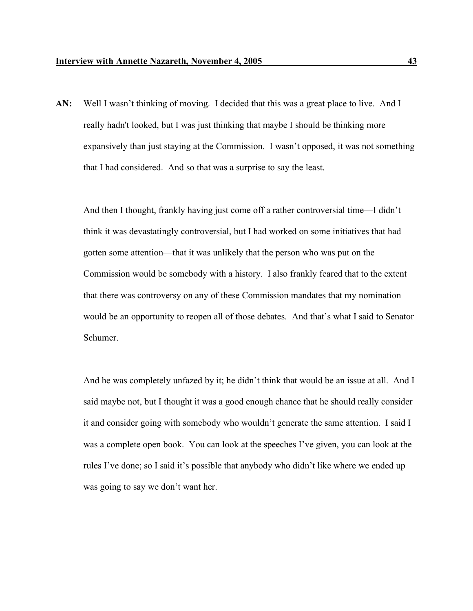**AN:** Well I wasn't thinking of moving. I decided that this was a great place to live. And I really hadn't looked, but I was just thinking that maybe I should be thinking more expansively than just staying at the Commission. I wasn't opposed, it was not something that I had considered. And so that was a surprise to say the least.

And then I thought, frankly having just come off a rather controversial time—I didn't think it was devastatingly controversial, but I had worked on some initiatives that had gotten some attention—that it was unlikely that the person who was put on the Commission would be somebody with a history. I also frankly feared that to the extent that there was controversy on any of these Commission mandates that my nomination would be an opportunity to reopen all of those debates. And that's what I said to Senator Schumer.

And he was completely unfazed by it; he didn't think that would be an issue at all. And I said maybe not, but I thought it was a good enough chance that he should really consider it and consider going with somebody who wouldn't generate the same attention. I said I was a complete open book. You can look at the speeches I've given, you can look at the rules I've done; so I said it's possible that anybody who didn't like where we ended up was going to say we don't want her.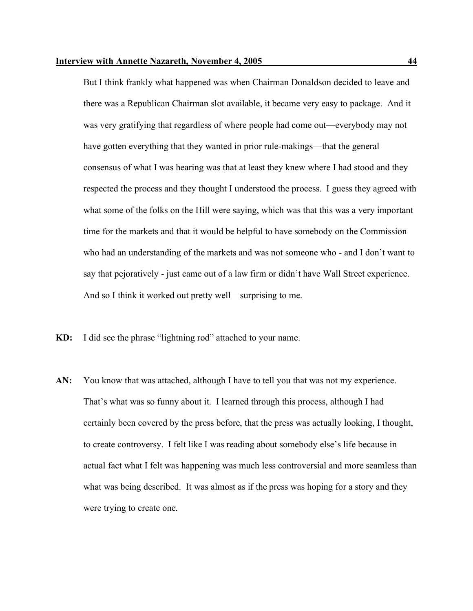But I think frankly what happened was when Chairman Donaldson decided to leave and there was a Republican Chairman slot available, it became very easy to package. And it was very gratifying that regardless of where people had come out—everybody may not have gotten everything that they wanted in prior rule-makings—that the general consensus of what I was hearing was that at least they knew where I had stood and they respected the process and they thought I understood the process. I guess they agreed with what some of the folks on the Hill were saying, which was that this was a very important time for the markets and that it would be helpful to have somebody on the Commission who had an understanding of the markets and was not someone who - and I don't want to say that pejoratively - just came out of a law firm or didn't have Wall Street experience. And so I think it worked out pretty well—surprising to me.

- **KD:** I did see the phrase "lightning rod" attached to your name.
- AN: You know that was attached, although I have to tell you that was not my experience. That's what was so funny about it. I learned through this process, although I had certainly been covered by the press before, that the press was actually looking, I thought, to create controversy. I felt like I was reading about somebody else's life because in actual fact what I felt was happening was much less controversial and more seamless than what was being described. It was almost as if the press was hoping for a story and they were trying to create one.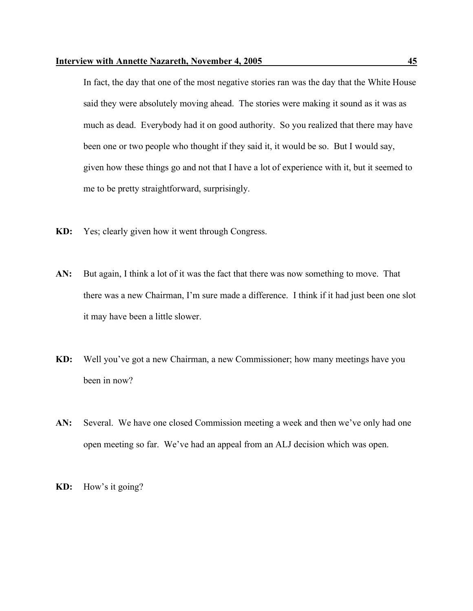In fact, the day that one of the most negative stories ran was the day that the White House said they were absolutely moving ahead. The stories were making it sound as it was as much as dead. Everybody had it on good authority. So you realized that there may have been one or two people who thought if they said it, it would be so. But I would say, given how these things go and not that I have a lot of experience with it, but it seemed to me to be pretty straightforward, surprisingly.

- **KD:** Yes; clearly given how it went through Congress.
- **AN:** But again, I think a lot of it was the fact that there was now something to move. That there was a new Chairman, I'm sure made a difference. I think if it had just been one slot it may have been a little slower.
- **KD:** Well you've got a new Chairman, a new Commissioner; how many meetings have you been in now?
- AN: Several. We have one closed Commission meeting a week and then we've only had one open meeting so far. We've had an appeal from an ALJ decision which was open.

**KD:** How's it going?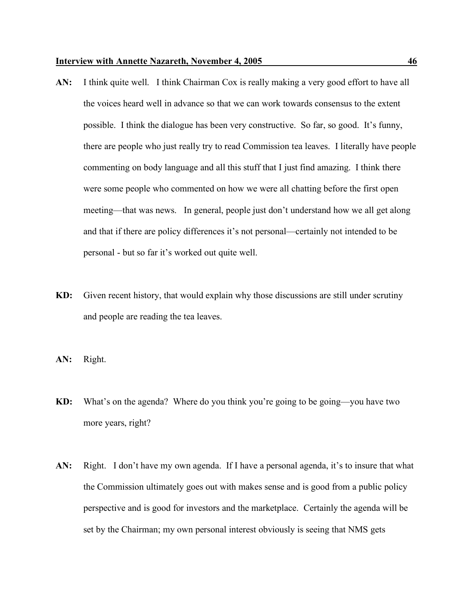- AN: I think quite well. I think Chairman Cox is really making a very good effort to have all the voices heard well in advance so that we can work towards consensus to the extent possible. I think the dialogue has been very constructive. So far, so good. It's funny, there are people who just really try to read Commission tea leaves. I literally have people commenting on body language and all this stuff that I just find amazing. I think there were some people who commented on how we were all chatting before the first open meeting—that was news. In general, people just don't understand how we all get along and that if there are policy differences it's not personal—certainly not intended to be personal - but so far it's worked out quite well.
- **KD:** Given recent history, that would explain why those discussions are still under scrutiny and people are reading the tea leaves.

**AN:** Right.

- **KD:** What's on the agenda? Where do you think you're going to be going—you have two more years, right?
- AN: Right. I don't have my own agenda. If I have a personal agenda, it's to insure that what the Commission ultimately goes out with makes sense and is good from a public policy perspective and is good for investors and the marketplace. Certainly the agenda will be set by the Chairman; my own personal interest obviously is seeing that NMS gets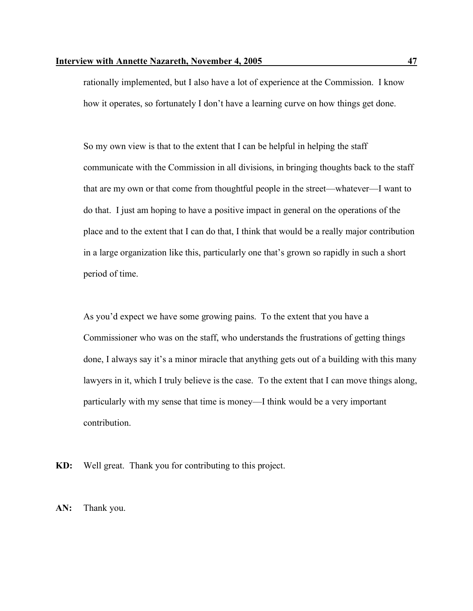rationally implemented, but I also have a lot of experience at the Commission. I know how it operates, so fortunately I don't have a learning curve on how things get done.

So my own view is that to the extent that I can be helpful in helping the staff communicate with the Commission in all divisions, in bringing thoughts back to the staff that are my own or that come from thoughtful people in the street—whatever—I want to do that. I just am hoping to have a positive impact in general on the operations of the place and to the extent that I can do that, I think that would be a really major contribution in a large organization like this, particularly one that's grown so rapidly in such a short period of time.

As you'd expect we have some growing pains. To the extent that you have a Commissioner who was on the staff, who understands the frustrations of getting things done, I always say it's a minor miracle that anything gets out of a building with this many lawyers in it, which I truly believe is the case. To the extent that I can move things along, particularly with my sense that time is money—I think would be a very important contribution.

**KD:** Well great. Thank you for contributing to this project.

**AN:** Thank you.